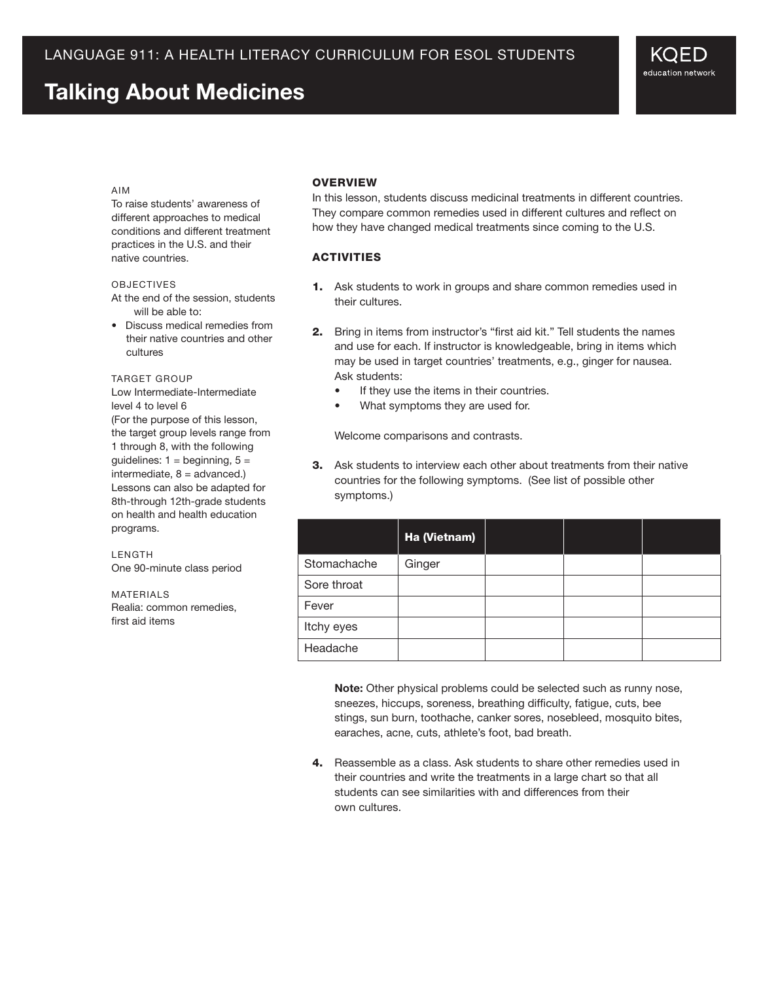# **Talking About Medicines**

### Aim

To raise students' awareness of different approaches to medical conditions and different treatment practices in the U.S. and their native countries.

### **OBJECTIVES**

At the end of the session, students will be able to:

• Discuss medical remedies from their native countries and other cultures

#### TARGET GROUP

Low Intermediate-Intermediate level 4 to level 6 (For the purpose of this lesson, the target group levels range from 1 through 8, with the following guidelines:  $1 =$  beginning,  $5 =$  $intermediate, 8 = advantage.$ Lessons can also be adapted for 8th-through 12th-grade students on health and health education programs.

LENGTH One 90-minute class period

MATERIALS Realia: common remedies, first aid items

## **OVERVIEW**

In this lesson, students discuss medicinal treatments in different countries. They compare common remedies used in different cultures and reflect on how they have changed medical treatments since coming to the U.S.

## **ACTIVITIES**

- 1. Ask students to work in groups and share common remedies used in their cultures.
- 2. Bring in items from instructor's "first aid kit." Tell students the names and use for each. If instructor is knowledgeable, bring in items which may be used in target countries' treatments, e.g., ginger for nausea. Ask students:
	- If they use the items in their countries.
	- What symptoms they are used for.

 Welcome comparisons and contrasts.

**3.** Ask students to interview each other about treatments from their native countries for the following symptoms. (See list of possible other symptoms.)

|             | Ha (Vietnam) |  |  |
|-------------|--------------|--|--|
| Stomachache | Ginger       |  |  |
| Sore throat |              |  |  |
| Fever       |              |  |  |
| Itchy eyes  |              |  |  |
| Headache    |              |  |  |

**Note:** Other physical problems could be selected such as runny nose, sneezes, hiccups, soreness, breathing difficulty, fatigue, cuts, bee stings, sun burn, toothache, canker sores, nosebleed, mosquito bites, earaches, acne, cuts, athlete's foot, bad breath.

4. Reassemble as a class. Ask students to share other remedies used in their countries and write the treatments in a large chart so that all students can see similarities with and differences from their own cultures.